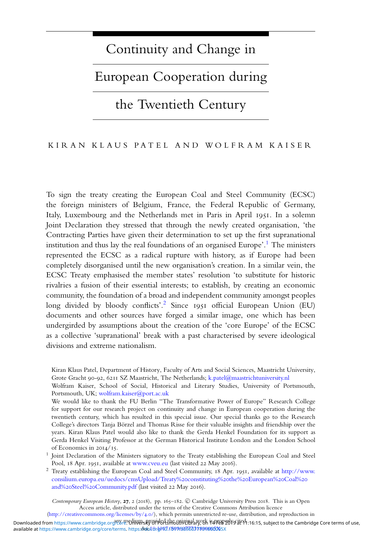# Continuity and Change in

## European Cooperation during

### the Twentieth Century

### KIRAN KLAUS PATEL AND WOLFRAM KAISER

To sign the treaty creating the European Coal and Steel Community (ECSC) the foreign ministers of Belgium, France, the Federal Republic of Germany, Italy, Luxembourg and the Netherlands met in Paris in April 1951. In a solemn Joint Declaration they stressed that through the newly created organisation, 'the Contracting Parties have given their determination to set up the first supranational institution and thus lay the real foundations of an organised Europe'.<sup>1</sup> The ministers represented the ECSC as a radical rupture with history, as if Europe had been completely disorganised until the new organisation's creation. In a similar vein, the ECSC Treaty emphasised the member states' resolution 'to substitute for historic rivalries a fusion of their essential interests; to establish, by creating an economic community, the foundation of a broad and independent community amongst peoples long divided by bloody conflicts'.<sup>2</sup> Since 1951 official European Union (EU) documents and other sources have forged a similar image, one which has been undergirded by assumptions about the creation of the 'core Europe' of the ECSC as a collective 'supranational' break with a past characterised by severe ideological divisions and extreme nationalism.

- <sup>1</sup> Joint Declaration of the Ministers signatory to the Treaty establishing the European Coal and Steel Pool, 18 Apr. 1951, available at [www.cveu.eu](http://www.cveu.eu) (last visited 22 May 2016).
- <sup>2</sup> Treaty establishing the European Coal and Steel Community, 18 Apr. 1951, available at [http://www.](http://www.consilium.europa.eu/uedocs/cmsUpload/Treaty%20constituting%20the%20European%20Coal%20and%20Steel%20Community.pdf) [consilium.europa.eu/uedocs/cmsUpload/Treaty%](http://www.consilium.europa.eu/uedocs/cmsUpload/Treaty%20constituting%20the%20European%20Coal%20and%20Steel%20Community.pdf)20constituting%20the%20European%20Coal%20 and%20Steel%20[Community.pdf](http://www.consilium.europa.eu/uedocs/cmsUpload/Treaty%20constituting%20the%20European%20Coal%20and%20Steel%20Community.pdf) (last visited 22 May 2016).

Kiran Klaus Patel, Department of History, Faculty of Arts and Social Sciences, Maastricht University, Grote Gracht 90-92, 6211 SZ Maastricht, The Netherlands; [k.patel@maastrichtuniversity.nl](mailto:k.patel@maastrichtuniversity.nl)

Wolfram Kaiser, School of Social, Historical and Literary Studies, University of Portsmouth, Portsmouth, UK; [wolfram.kaiser@port.ac.uk](mailto:wolfram.kaiser@port.ac.uk)

We would like to thank the FU Berlin "The Transformative Power of Europe" Research College for support for our research project on continuity and change in European cooperation during the twentieth century, which has resulted in this special issue. Our special thanks go to the Research College's directors Tanja Börzel and Thomas Risse for their valuable insights and friendship over the years. Kiran Klaus Patel would also like to thank the Gerda Henkel Foundation for its support as Gerda Henkel Visiting Professor at the German Historical Institute London and the London School of Economics in 2014/15.

Contemporary European History, 27, 2 (2018), pp. 165-182. © Cambridge University Press 2018. This is an Open Access article, distributed under the terms of the Creative Commons Attribution licence

[<sup>\(</sup>http://creativecommons.org/licenses/by/](http://creativecommons.org/licenses/by/4.0/)4.0/), which permits unrestricted re-use, distribution, and reproduction in

Downloaded from https://www.cambridge.or<del>gPU/EP:ዕዘiWErsRy\Yi</del>P6dsh&ው የተመዘጋቸው የተለያዩ የተለያዩ የተለያዩ የተለያዩ የተለያዩ የተለያዩ የ<br>Pownloaded from https://www.cambridge.org<del>PU/EP:01</del> available at <https://www.cambridge.org/core/terms>. https://doi.10r0017/1009/S00376097890805065X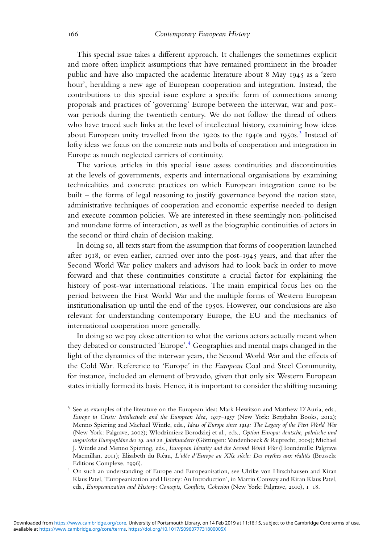This special issue takes a different approach. It challenges the sometimes explicit and more often implicit assumptions that have remained prominent in the broader public and have also impacted the academic literature about 8 May 1945 as a 'zero hour', heralding a new age of European cooperation and integration. Instead, the contributions to this special issue explore a specific form of connections among proposals and practices of 'governing' Europe between the interwar, war and postwar periods during the twentieth century. We do not follow the thread of others who have traced such links at the level of intellectual history, examining how ideas about European unity travelled from the 1920s to the 1940s and 1950s.<sup>3</sup> Instead of lofty ideas we focus on the concrete nuts and bolts of cooperation and integration in Europe as much neglected carriers of continuity.

The various articles in this special issue assess continuities and discontinuities at the levels of governments, experts and international organisations by examining technicalities and concrete practices on which European integration came to be built – the forms of legal reasoning to justify governance beyond the nation state, administrative techniques of cooperation and economic expertise needed to design and execute common policies. We are interested in these seemingly non-politicised and mundane forms of interaction, as well as the biographic continuities of actors in the second or third chain of decision making.

In doing so, all texts start from the assumption that forms of cooperation launched after 1918, or even earlier, carried over into the post-1945 years, and that after the Second World War policy makers and advisors had to look back in order to move forward and that these continuities constitute a crucial factor for explaining the history of post-war international relations. The main empirical focus lies on the period between the First World War and the multiple forms of Western European institutionalisation up until the end of the 1950s. However, our conclusions are also relevant for understanding contemporary Europe, the EU and the mechanics of international cooperation more generally.

In doing so we pay close attention to what the various actors actually meant when they debated or constructed 'Europe'.<sup>4</sup> Geographies and mental maps changed in the light of the dynamics of the interwar years, the Second World War and the effects of the Cold War. Reference to 'Europe' in the *European* Coal and Steel Community, for instance, included an element of bravado, given that only six Western European states initially formed its basis. Hence, it is important to consider the shifting meaning

<sup>&</sup>lt;sup>3</sup> See as examples of the literature on the European idea: Mark Hewitson and Matthew D'Auria, eds., *Europe in Crisis: Intellectuals and the European Idea, 1917–1957* (New York: Berghahn Books, 2012); Menno Spiering and Michael Wintle, eds., *Ideas of Europe since 1914: The Legacy of the First World War* (New York: Palgrave, 2002); Wlodzimierz Borodziej et al., eds., *Option Europa: deutsche, polnische und ungarische Europapläne des 19. und 20. Jahrhunderts* (Göttingen: Vandenhoeck & Ruprecht, 2005); Michael J. Wintle and Menno Spiering, eds., *European Identity and the Second World War* (Houndmills: Palgrave Macmillan, 2011); Elisabeth du Réau, *L'idée d'Europe au XXe siècle: Des mythes aux réalités* (Brussels: Editions Complexe, 1996).

<sup>4</sup> On such an understanding of Europe and Europeanisation, see Ulrike von Hirschhausen and Kiran Klaus Patel, 'Europeanization and History: An Introduction', in Martin Conway and Kiran Klaus Patel, eds., *Europeanization and History: Concepts, Conflicts, Cohesion* (New York: Palgrave, 2010), 1–18.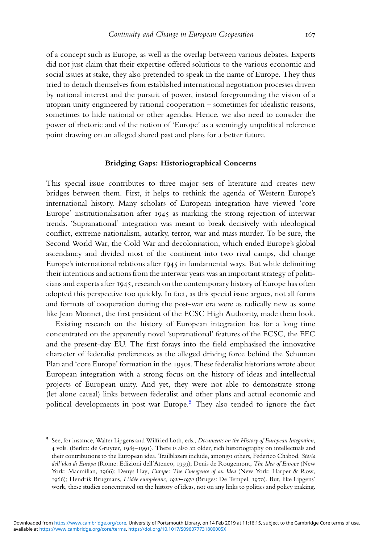of a concept such as Europe, as well as the overlap between various debates. Experts did not just claim that their expertise offered solutions to the various economic and social issues at stake, they also pretended to speak in the name of Europe. They thus tried to detach themselves from established international negotiation processes driven by national interest and the pursuit of power, instead foregrounding the vision of a utopian unity engineered by rational cooperation – sometimes for idealistic reasons, sometimes to hide national or other agendas. Hence, we also need to consider the power of rhetoric and of the notion of 'Europe' as a seemingly unpolitical reference point drawing on an alleged shared past and plans for a better future.

#### **Bridging Gaps: Historiographical Concerns**

This special issue contributes to three major sets of literature and creates new bridges between them. First, it helps to rethink the agenda of Western Europe's international history. Many scholars of European integration have viewed 'core Europe' institutionalisation after 1945 as marking the strong rejection of interwar trends. 'Supranational' integration was meant to break decisively with ideological conflict, extreme nationalism, autarky, terror, war and mass murder. To be sure, the Second World War, the Cold War and decolonisation, which ended Europe's global ascendancy and divided most of the continent into two rival camps, did change Europe's international relations after 1945 in fundamental ways. But while delimiting their intentions and actions from the interwar years was an important strategy of politicians and experts after 1945, research on the contemporary history of Europe has often adopted this perspective too quickly. In fact, as this special issue argues, not all forms and formats of cooperation during the post-war era were as radically new as some like Jean Monnet, the first president of the ECSC High Authority, made them look.

Existing research on the history of European integration has for a long time concentrated on the apparently novel 'supranational' features of the ECSC, the EEC and the present-day EU. The first forays into the field emphasised the innovative character of federalist preferences as the alleged driving force behind the Schuman Plan and 'core Europe' formation in the 1950s. These federalist historians wrote about European integration with a strong focus on the history of ideas and intellectual projects of European unity. And yet, they were not able to demonstrate strong (let alone causal) links between federalist and other plans and actual economic and political developments in post-war Europe.<sup>5</sup> They also tended to ignore the fact

<sup>5</sup> See, for instance, Walter Lipgens and Wilfried Loth, eds., *Documents on the History of European Integration*, 4 vols. (Berlin: de Gruyter, 1985–1991). There is also an older, rich historiography on intellectuals and their contributions to the European idea. Trailblazers include, amongst others, Federico Chabod, *Storia dell'idea di Europa* (Rome: Edizioni dell'Ateneo, 1959); Denis de Rougemont, *The Idea of Europe* (New York: Macmillan, 1966); Denys Hay, *Europe: The Emergence of an Idea* (New York: Harper & Row, 1966); Hendrik Brugmans, *L'idée européenne, 1920–1970* (Bruges: De Tempel, 1970). But, like Lipgens' work, these studies concentrated on the history of ideas, not on any links to politics and policy making.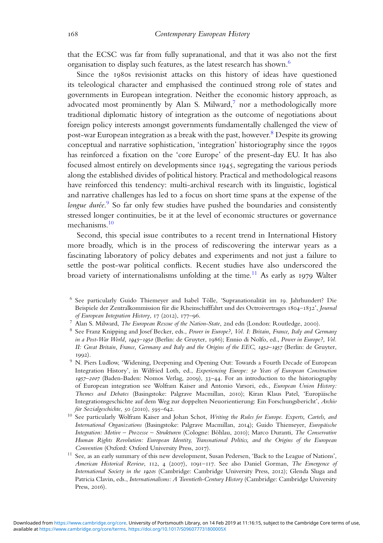that the ECSC was far from fully supranational, and that it was also not the first organisation to display such features, as the latest research has shown.<sup>6</sup>

Since the 1980s revisionist attacks on this history of ideas have questioned its teleological character and emphasised the continued strong role of states and governments in European integration. Neither the economic history approach, as advocated most prominently by Alan S. Milward, $^7$  nor a methodologically more traditional diplomatic history of integration as the outcome of negotiations about foreign policy interests amongst governments fundamentally challenged the view of post-war European integration as a break with the past, however.<sup>8</sup> Despite its growing conceptual and narrative sophistication, 'integration' historiography since the 1990s has reinforced a fixation on the 'core Europe' of the present-day EU. It has also focused almost entirely on developments since 1945, segregating the various periods along the established divides of political history. Practical and methodological reasons have reinforced this tendency: multi-archival research with its linguistic, logistical and narrative challenges has led to a focus on short time spans at the expense of the longue durée.<sup>9</sup> So far only few studies have pushed the boundaries and consistently stressed longer continuities, be it at the level of economic structures or governance mechanisms.<sup>10</sup>

Second, this special issue contributes to a recent trend in International History more broadly, which is in the process of rediscovering the interwar years as a fascinating laboratory of policy debates and experiments and not just a failure to settle the post-war political conflicts. Recent studies have also underscored the broad variety of internationalisms unfolding at the time.<sup>11</sup> As early as 1979 Walter

- <sup>6</sup> See particularly Guido Thiemeyer and Isabel Tölle, 'Supranationalität im 19. Jahrhundert? Die Beispiele der Zentralkommission für die Rheinschifffahrt und des Octroivertrages 1804–1832', *Journal of European Integration History*, 17 (2012), 177–96.
- <sup>7</sup> Alan S. Milward, *The European Rescue of the Nation-State*, 2nd edn (London: Routledge, 2000).
- <sup>8</sup> See Franz Knipping and Josef Becker, eds., *Power in Europe?, Vol. I: Britain, France, Italy and Germany in a Post-War World, 1945–1950* (Berlin: de Gruyter, 1986); Ennio di Nolfo, ed., *Power in Europe?, Vol. II: Great Britain, France, Germany and Italy and the Origins of the EEC, 1952–1957* (Berlin: de Gruyter, 1992).
- <sup>9</sup> N. Piers Ludlow, 'Widening, Deepening and Opening Out: Towards a Fourth Decade of European Integration History', in Wilfried Loth, ed., *Experiencing Europe: 50 Years of European Construction 1957–2007* (Baden-Baden: Nomos Verlag, 2009), 33–44. For an introduction to the historiography of European integration see Wolfram Kaiser and Antonio Varsori, eds., *European Union History: Themes and Debates* (Basingstoke: Palgrave Macmillan, 2010); Kiran Klaus Patel, 'Europäische Integrationsgeschichte auf dem Weg zur doppelten Neuorientierung: Ein Forschungsbericht', *Archiv für Sozialgeschichte*, 50 (2010), 595–642.
- <sup>10</sup> See particularly Wolfram Kaiser and Johan Schot, *Writing the Rules for Europe. Experts, Cartels, and International Organizations* (Basingstoke: Palgrave Macmillan, 2014); Guido Thiemeyer, *Europäische Integration: Motive – Prozesse – Strukturen* (Cologne: Böhlau, 2010); Marco Duranti, *The Conservative Human Rights Revolution: European Identity, Transnational Politics, and the Origins of the European Convention* (Oxford: Oxford University Press, 2017).
- <sup>11</sup> See, as an early summary of this new development, Susan Pedersen, 'Back to the League of Nations', *American Historical Review*, 112, 4 (2007), 1091–117. See also Daniel Gorman, *The Emergence of International Society in the 1920s* (Cambridge: Cambridge University Press, 2012); Glenda Sluga and Patricia Clavin, eds., *Internationalisms: A Twentieth-Century History* (Cambridge: Cambridge University Press, 2016).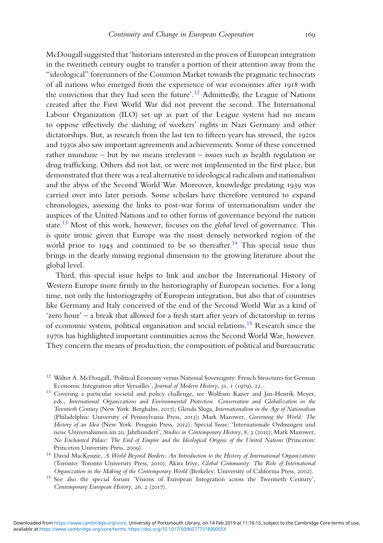McDougall suggested that 'historians interested in the process of European integration in the twentieth century ought to transfer a portion of their attention away from the "ideological" forerunners of the Common Market towards the pragmatic technocrats of all nations who emerged from the experience of war economies after 1918 with the conviction that they had seen the future'.<sup>12</sup> Admittedly, the League of Nations created after the First World War did not prevent the second. The International Labour Organization (ILO) set up as part of the League system had no means to oppose effectively the slashing of workers' rights in Nazi Germany and other dictatorships. But, as research from the last ten to fifteen years has stressed, the 1920s and 1930s also saw important agreements and achievements. Some of these concerned rather mundane – but by no means irrelevant – issues such as health regulation or drug trafficking. Others did not last, or were not implemented in the first place, but demonstrated that there was a real alternative to ideological radicalism and nationalism and the abyss of the Second World War. Moreover, knowledge predating 1939 was carried over into later periods. Some scholars have therefore ventured to expand chronologies, assessing the links to post-war forms of internationalism under the auspices of the United Nations and to other forms of governance beyond the nation state.13 Most of this work, however, focuses on the *global* level of governance. This is quite ironic given that Europe was the most densely networked region of the world prior to 1945 and continued to be so thereafter.<sup>14</sup> This special issue thus brings in the dearly missing regional dimension to the growing literature about the global level.

Third, this special issue helps to link and anchor the International History of Western Europe more firmly in the historiography of European societies. For a long time, not only the historiography of European integration, but also that of countries like Germany and Italy conceived of the end of the Second World War as a kind of 'zero hour' – a break that allowed for a fresh start after years of dictatorship in terms of economic system, political organisation and social relations.15 Research since the 1970s has highlighted important continuities across the Second World War, however. They concern the means of production, the composition of political and bureaucratic

<sup>&</sup>lt;sup>12</sup> Walter A. McDougall, 'Political Economy versus National Sovereignty: French Structures for German Economic Integration after Versailles', *Journal of Modern History*, 51, 1 (1979), 22.

<sup>13</sup> Covering a particular societal and policy challenge, see Wolfram Kaiser and Jan-Henrik Meyer, eds., *International Organizations and Environmental Protection. Conservation and Globalization in the Twentieth Century* (New York: Berghahn, 2017); Glenda Sluga, *Internationalism in the Age of Nationalism* (Philadelphia: University of Pennsylvania Press, 2013); Mark Mazower, *Governing the World: The History of an Idea* (New York: Penguin Press, 2012); Special Issue: 'Internationale Ordnungen und neue Universalismen im 20. Jahrhundert', *Studies in Contemporary History*, 8, 3 (2011); Mark Mazower, *No Enchanted Palace: The End of Empire and the Ideological Origins of the United Nations* (Princeton: Princeton University Press, 2009).

<sup>14</sup> David MacKenzie, *A World Beyond Borders: An Introduction to the History of International Organizations* (Toronto: Toronto University Press, 2010); Akira Iriye, *Global Community: The Role of International Organization in the Making of the Contemporary World* (Berkeley: University of California Press, 2002).

<sup>15</sup> See also the special forum 'Visions of European Integration across the Twentieth Century', *Contemporary European History*, 26, 2 (2017).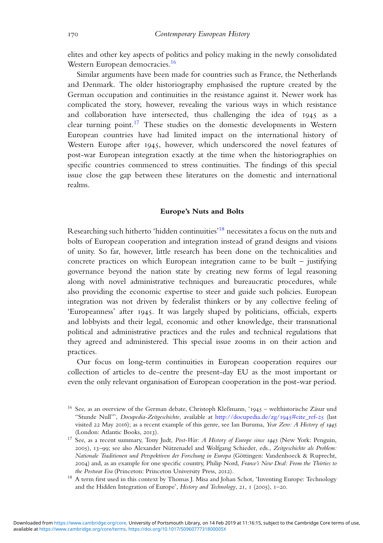elites and other key aspects of politics and policy making in the newly consolidated Western European democracies.<sup>16</sup>

Similar arguments have been made for countries such as France, the Netherlands and Denmark. The older historiography emphasised the rupture created by the German occupation and continuities in the resistance against it. Newer work has complicated the story, however, revealing the various ways in which resistance and collaboration have intersected, thus challenging the idea of 1945 as a clear turning point.<sup>17</sup> These studies on the domestic developments in Western European countries have had limited impact on the international history of Western Europe after 1945, however, which underscored the novel features of post-war European integration exactly at the time when the historiographies on specific countries commenced to stress continuities. The findings of this special issue close the gap between these literatures on the domestic and international realms.

#### **Europe's Nuts and Bolts**

Researching such hitherto 'hidden continuities'<sup>18</sup> necessitates a focus on the nuts and bolts of European cooperation and integration instead of grand designs and visions of unity. So far, however, little research has been done on the technicalities and concrete practices on which European integration came to be built – justifying governance beyond the nation state by creating new forms of legal reasoning along with novel administrative techniques and bureaucratic procedures, while also providing the economic expertise to steer and guide such policies. European integration was not driven by federalist thinkers or by any collective feeling of 'Europeanness' after 1945. It was largely shaped by politicians, officials, experts and lobbyists and their legal, economic and other knowledge, their transnational political and administrative practices and the rules and technical regulations that they agreed and administered. This special issue zooms in on their action and practices.

Our focus on long-term continuities in European cooperation requires our collection of articles to de-centre the present-day EU as the most important or even the only relevant organisation of European cooperation in the post-war period.

<sup>16</sup> See, as an overview of the German debate, Christoph Kleßmann, '1945 – welthistorische Zäsur und "Stunde Null"', *Docupedia-Zeitgeschichte*, available at [http://docupedia.de/zg/](http://docupedia.de/zg/1945#cite_ref-25)1945#cite\_ref-25 (last visited 22 May 2016); as a recent example of this genre, see Ian Buruma, *Year Zero: A History of 1945* (London: Atlantic Books, 2013).

<sup>17</sup> See, as a recent summary, Tony Judt, *Post-War: A History of Europe since 1945* (New York: Penguin, 2005), 13–99; see also Alexander Nützenadel and Wolfgang Schieder, eds., *Zeitgeschichte als Problem: Nationale Traditionen und Perspektiven der Forschung in Europa* (Göttingen: Vandenhoeck & Ruprecht, 2004) and, as an example for one specific country, Philip Nord, *France's New Deal: From the Thirties to the Postwar Era* (Princeton: Princeton University Press, 2012).

<sup>18</sup> A term first used in this context by Thomas J. Misa and Johan Schot, 'Inventing Europe: Technology and the Hidden Integration of Europe', *History and Technology*, 21, 1 (2005), 1–20.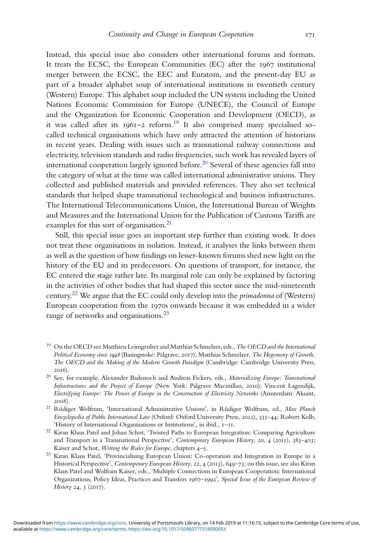Instead, this special issue also considers other international forums and formats. It treats the ECSC, the European Communities (EC) after the 1967 institutional merger between the ECSC, the EEC and Euratom, and the present-day EU as part of a broader alphabet soup of international institutions in twentieth century (Western) Europe. This alphabet soup included the UN system including the United Nations Economic Commission for Europe (UNECE), the Council of Europe and the Organization for Economic Cooperation and Development (OECD), as it was called after its  $1961-2$  reform.<sup>19</sup> It also comprised many specialised socalled technical organisations which have only attracted the attention of historians in recent years. Dealing with issues such as transnational railway connections and electricity, television standards and radio frequencies, such work has revealed layers of international cooperation largely ignored before.<sup>20</sup> Several of these agencies fall into the category of what at the time was called international administrative unions. They collected and published materials and provided references. They also set technical standards that helped shape transnational technological and business infrastructures. The International Telecommunications Union, the International Bureau of Weights and Measures and the International Union for the Publication of Customs Tariffs are examples for this sort of organisation.<sup>21</sup>

Still, this special issue goes an important step further than existing work. It does not treat these organisations in isolation. Instead, it analyses the links between them as well as the question of how findings on lesser-known forums shed new light on the history of the EU and its predecessors. On questions of transport, for instance, the EC entered the stage rather late. Its marginal role can only be explained by factoring in the activities of other bodies that had shaped this sector since the mid-nineteenth century.22 We argue that the EC could only develop into the *primadonna* of (Western) European cooperation from the 1970s onwards because it was embedded in a wider range of networks and organisations.<sup>23</sup>

- <sup>20</sup> See, for example, Alexander Badenoch and Andreas Fickers, eds., *Materializing Europe: Transnational Infrastructures and the Project of Europe* (New York: Palgrave Macmillan, 2010); Vincent Lagendijk, *Electrifying Europe: The Power of Europe in the Construction of Electricity Networks* (Amsterdam: Aksant, 2008).
- <sup>21</sup> Rüdiger Wolfrum, 'International Administrative Unions', in Rüdiger Wolfrum, ed., *Max Planck Encyclopedia of Public International Law* (Oxford: Oxford University Press, 2012), 335–44; Robert Kolb, 'History of International Organizations or Institutions', in ibid., 1–11.
- <sup>22</sup> Kiran Klaus Patel and Johan Schot, 'Twisted Paths to European Integration: Comparing Agriculture and Transport in a Transnational Perspective', *Contemporary European History*, 20, 4 (2011), 383–403; Kaiser and Schot, *Writing the Rules for Europe*, chapters 4–5.
- <sup>23</sup> Kiran Klaus Patel, 'Provincialising European Union: Co-operation and Integration in Europe in a Historical Perspective', *Contemporary European History*, 22, 4 (2013), 649–73; on this issue, see also Kiran Klaus Patel and Wolfram Kaiser, eds., 'Multiple Connections in European Cooperation: International Organizations, Policy Ideas, Practices and Transfers 1967–1992', *Special Issue of the European Review of History* 24, 3 (2017).

<sup>19</sup> On the OECD see Matthieu Leimgruber and Matthias Schmelzer, eds., *The OECD and the International Political Economy since 1948* (Basingstoke: Palgrave, 2017); Matthias Schmelzer, *The Hegemony of Growth. The OECD and the Making of the Modern Growth Paradigm* (Cambridge: Cambridge University Press, 2016).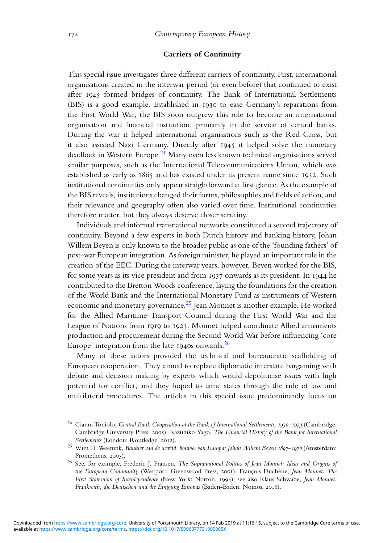#### **Carriers of Continuity**

This special issue investigates three different carriers of continuity. First, international organisations created in the interwar period (or even before) that continued to exist after 1945 formed bridges of continuity. The Bank of International Settlements (BIS) is a good example. Established in 1930 to ease Germany's reparations from the First World War, the BIS soon outgrew this role to become an international organisation and financial institution, primarily in the service of central banks. During the war it helped international organisations such as the Red Cross, but it also assisted Nazi Germany. Directly after 1945 it helped solve the monetary deadlock in Western Europe.<sup>24</sup> Many even less known technical organisations served similar purposes, such as the International Telecommunications Union, which was established as early as 1865 and has existed under its present name since 1932. Such institutional continuities only appear straightforward at first glance. As the example of the BIS reveals, institutions changed their forms, philosophies and fields of action, and their relevance and geography often also varied over time. Institutional continuities therefore matter, but they always deserve closer scrutiny.

Individuals and informal transnational networks constituted a second trajectory of continuity. Beyond a few experts in both Dutch history and banking history, Johan Willem Beyen is only known to the broader public as one of the 'founding fathers' of post-war European integration. As foreign minister, he played an important role in the creation of the EEC. During the interwar years, however, Beyen worked for the BIS, for some years as its vice president and from 1937 onwards as its president. In 1944 he contributed to the Bretton Woods conference, laying the foundations for the creation of the World Bank and the International Monetary Fund as instruments of Western economic and monetary governance.<sup>25</sup> Jean Monnet is another example. He worked for the Allied Maritime Transport Council during the First World War and the League of Nations from 1919 to 1923. Monnet helped coordinate Allied armaments production and procurement during the Second World War before influencing 'core Europe' integration from the late 1940s onwards. $^{26}$ 

Many of these actors provided the technical and bureaucratic scaffolding of European cooperation. They aimed to replace diplomatic interstate bargaining with debate and decision making by experts which would depoliticise issues with high potential for conflict, and they hoped to tame states through the rule of law and multilateral procedures. The articles in this special issue predominantly focus on

<sup>24</sup> Gianni Toniolo, *Central Bank Cooperation at the Bank of International Settlements, 1930–1973* (Cambridge: Cambridge University Press, 2005); Kazuhiko Yago, *The Financial History of the Bank for International Settlements* (London: Routledge, 2012).

<sup>25</sup> Wim H. Weenink, *Bankier van de wereld, bouwer van Europa: Johan Willem Beyen 1897–1976* (Amsterdam: Prometheus, 2005).

<sup>26</sup> See, for example, Frederic J. Fransen, *The Supranational Politics of Jean Monnet: Ideas and Origins of the European Community* (Westport: Greenwood Press, 2001); François Duchêne, *Jean Monnet: The First Statesman of Interdependence* (New York: Norton, 1994); see also Klaus Schwabe, *Jean Monnet. Frankreich, die Deutschen und die Einigung Europas* (Baden-Baden: Nomos, 2016).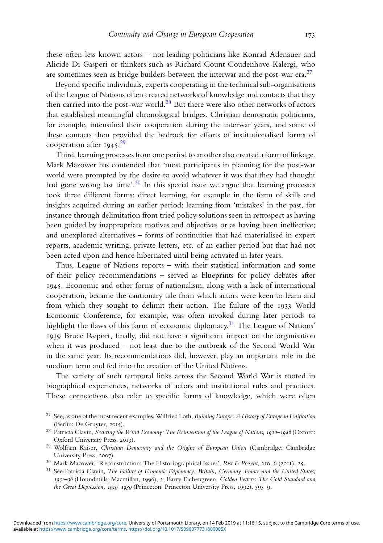these often less known actors – not leading politicians like Konrad Adenauer and Alicide Di Gasperi or thinkers such as Richard Count Coudenhove-Kalergi, who are sometimes seen as bridge builders between the interwar and the post-war era.<sup>27</sup>

Beyond specific individuals, experts cooperating in the technical sub-organisations of the League of Nations often created networks of knowledge and contacts that they then carried into the post-war world. $^{28}$  But there were also other networks of actors that established meaningful chronological bridges. Christian democratic politicians, for example, intensified their cooperation during the interwar years, and some of these contacts then provided the bedrock for efforts of institutionalised forms of cooperation after 1945.<sup>29</sup>

Third, learning processes from one period to another also created a form of linkage. Mark Mazower has contended that 'most participants in planning for the post-war world were prompted by the desire to avoid whatever it was that they had thought had gone wrong last time'.<sup>30</sup> In this special issue we argue that learning processes took three different forms: direct learning, for example in the form of skills and insights acquired during an earlier period; learning from 'mistakes' in the past, for instance through delimitation from tried policy solutions seen in retrospect as having been guided by inappropriate motives and objectives or as having been ineffective; and unexplored alternatives – forms of continuities that had materialised in expert reports, academic writing, private letters, etc. of an earlier period but that had not been acted upon and hence hibernated until being activated in later years.

Thus, League of Nations reports – with their statistical information and some of their policy recommendations – served as blueprints for policy debates after 1945. Economic and other forms of nationalism, along with a lack of international cooperation, became the cautionary tale from which actors were keen to learn and from which they sought to delimit their action. The failure of the 1933 World Economic Conference, for example, was often invoked during later periods to highlight the flaws of this form of economic diplomacy.<sup>31</sup> The League of Nations' 1939 Bruce Report, finally, did not have a significant impact on the organisation when it was produced – not least due to the outbreak of the Second World War in the same year. Its recommendations did, however, play an important role in the medium term and fed into the creation of the United Nations.

The variety of such temporal links across the Second World War is rooted in biographical experiences, networks of actors and institutional rules and practices. These connections also refer to specific forms of knowledge, which were often

- <sup>29</sup> Wolfram Kaiser, *Christian Democracy and the Origins of European Union* (Cambridge: Cambridge University Press, 2007).
- <sup>30</sup> Mark Mazower, 'Reconstruction: The Historiographical Issues', *Past & Present*, 210, 6 (2011), 25.
- <sup>31</sup> See Patricia Clavin, *The Failure of Economic Diplomacy: Britain, Germany, France and the United States, 1931–36* (Houndmills: Macmillan, 1996), 3; Barry Eichengreen, *Golden Fetters: The Gold Standard and the Great Depression, 1919–1939* (Princeton: Princeton University Press, 1992), 395–9.

<sup>27</sup> See, as one of the most recent examples, Wilfried Loth, *Building Europe: A History of European Unification* (Berlin: De Gruyter, 2015).

<sup>&</sup>lt;sup>28</sup> Patricia Clavin, *Securing the World Economy: The Reinvention of the League of Nations, 1920–1946* (Oxford: Oxford University Press, 2013).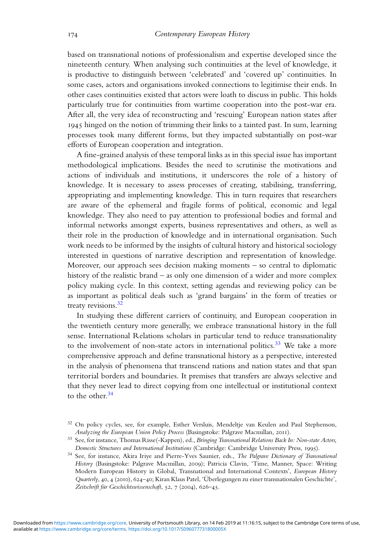based on transnational notions of professionalism and expertise developed since the nineteenth century. When analysing such continuities at the level of knowledge, it is productive to distinguish between 'celebrated' and 'covered up' continuities. In some cases, actors and organisations invoked connections to legitimise their ends. In other cases continuities existed that actors were loath to discuss in public. This holds particularly true for continuities from wartime cooperation into the post-war era. After all, the very idea of reconstructing and 'rescuing' European nation states after 1945 hinged on the notion of trimming their links to a tainted past. In sum, learning processes took many different forms, but they impacted substantially on post-war efforts of European cooperation and integration.

A fine-grained analysis of these temporal links as in this special issue has important methodological implications. Besides the need to scrutinise the motivations and actions of individuals and institutions, it underscores the role of a history of knowledge. It is necessary to assess processes of creating, stabilising, transferring, appropriating and implementing knowledge. This in turn requires that researchers are aware of the ephemeral and fragile forms of political, economic and legal knowledge. They also need to pay attention to professional bodies and formal and informal networks amongst experts, business representatives and others, as well as their role in the production of knowledge and in international organisation. Such work needs to be informed by the insights of cultural history and historical sociology interested in questions of narrative description and representation of knowledge. Moreover, our approach sees decision making moments – so central to diplomatic history of the realistic brand – as only one dimension of a wider and more complex policy making cycle. In this context, setting agendas and reviewing policy can be as important as political deals such as 'grand bargains' in the form of treaties or treaty revisions.<sup>32</sup>

In studying these different carriers of continuity, and European cooperation in the twentieth century more generally, we embrace transnational history in the full sense. International Relations scholars in particular tend to reduce transnationality to the involvement of non-state actors in international politics.<sup>33</sup> We take a more comprehensive approach and define transnational history as a perspective, interested in the analysis of phenomena that transcend nations and nation states and that span territorial borders and boundaries. It premises that transfers are always selective and that they never lead to direct copying from one intellectual or institutional context to the other  $34$ 

<sup>&</sup>lt;sup>32</sup> On policy cycles, see, for example, Esther Versluis, Mendeltje van Keulen and Paul Stephenson, *Analyzing the European Union Policy Process* (Basingstoke: Palgrave Macmillan, 2011).

<sup>33</sup> See, for instance, Thomas Risse(-Kappen), ed., *Bringing Transnational Relations Back In: Non-state Actors, Domestic Structures and International Institutions* (Cambridge: Cambridge University Press, 1995).

<sup>34</sup> See, for instance, Akira Iriye and Pierre-Yves Saunier, eds., *The Palgrave Dictionary of Transnational History* (Basingstoke: Palgrave Macmillan, 2009); Patricia Clavin, 'Time, Manner, Space: Writing Modern European History in Global, Transnational and International Contexts', *European History Quarterly*, 40, 4 (2010), 624–40; Kiran Klaus Patel, 'Überlegungen zu einer transnationalen Geschichte', *Zeitschrift für Geschichtswissenschaft*, 52, 7 (2004), 626–45.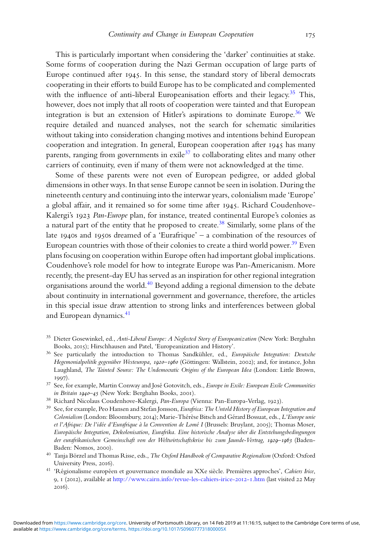This is particularly important when considering the 'darker' continuities at stake. Some forms of cooperation during the Nazi German occupation of large parts of Europe continued after 1945. In this sense, the standard story of liberal democrats cooperating in their efforts to build Europe has to be complicated and complemented with the influence of anti-liberal Europeanisation efforts and their legacy.<sup>35</sup> This, however, does not imply that all roots of cooperation were tainted and that European integration is but an extension of Hitler's aspirations to dominate Europe.<sup>36</sup> We require detailed and nuanced analyses, not the search for schematic similarities without taking into consideration changing motives and intentions behind European cooperation and integration. In general, European cooperation after 1945 has many parents, ranging from governments in exile $37$  to collaborating elites and many other carriers of continuity, even if many of them were not acknowledged at the time.

Some of these parents were not even of European pedigree, or added global dimensions in other ways. In that sense Europe cannot be seen in isolation. During the nineteenth century and continuing into the interwar years, colonialism made 'Europe' a global affair, and it remained so for some time after 1945. Richard Coudenhove-Kalergi's 1923 *Pan-Europe* plan, for instance, treated continental Europe's colonies as a natural part of the entity that he proposed to create.<sup>38</sup> Similarly, some plans of the late 1940s and 1950s dreamed of a 'Eurafrique' – a combination of the resources of European countries with those of their colonies to create a third world power.<sup>39</sup> Even plans focusing on cooperation within Europe often had important global implications. Coudenhove's role model for how to integrate Europe was Pan-Americanism. More recently, the present-day EU has served as an inspiration for other regional integration organisations around the world.<sup>40</sup> Beyond adding a regional dimension to the debate about continuity in international government and governance, therefore, the articles in this special issue draw attention to strong links and interferences between global and European dynamics.<sup>41</sup>

- <sup>36</sup> See particularly the introduction to Thomas Sandkühler, ed., *Europäische Integration: Deutsche Hegemonialpolitik gegenüber Westeuropa, 1920–1960* (Göttingen: Wallstein, 2002); and, for instance, John Laughland, *The Tainted Source: The Undemocratic Origins of the European Idea* (London: Little Brown, 1997).
- <sup>37</sup> See, for example, Martin Conway and José Gotovitch, eds., *Europe in Exile: European Exile Communities in Britain 1940–45* (New York: Berghahn Books, 2001).
- <sup>38</sup> Richard Nicolaus Coudenhove-Kalergi, *Pan-Europa* (Vienna: Pan-Europa-Verlag, 1923).
- <sup>39</sup> See, for example, Peo Hansen and Stefan Jonsson, *Eurafrica: The Untold History of European Integration and Colonialism* (London: Bloomsbury, 2014); Marie-Thérèse Bitsch and Gérard Bossuat, eds., *L'Europe unie et l'Afrique: De l'idée d'Eurafrique à la Convention de Lomé I* (Brussels: Bruylant, 2005); Thomas Moser, *Europäische Integration, Dekolonisation, Eurafrika. Eine historische Analyse über die Entstehungsbedingungen der eurafrikanischen Gemeinschaft von der Weltwirtschaftskrise bis zum Jaunde-Vertrag, 1929–1963* (Baden-Baden: Nomos, 2000).
- <sup>40</sup> Tanja Börzel and Thomas Risse, eds., *The Oxford Handbook of Comparative Regionalism* (Oxford: Oxford University Press, 2016).
- <sup>41</sup> 'Régionalisme européen et gouvernance mondiale au XXe siècle. Premières approches', *Cahiers Irice*, 9, 1 (2012), available at [http://www.cairn.info/revue-les-cahiers-irice-](http://www.cairn.info/revue-les-cahiers-irice-2012-1.htm)2012-1.htm (last visited 22 May 2016).

<sup>35</sup> Dieter Gosewinkel, ed., *Anti-Liberal Europe: A Neglected Story of Europeanization* (New York: Berghahn Books, 2015); Hirschhausen and Patel, 'Europeanization and History'.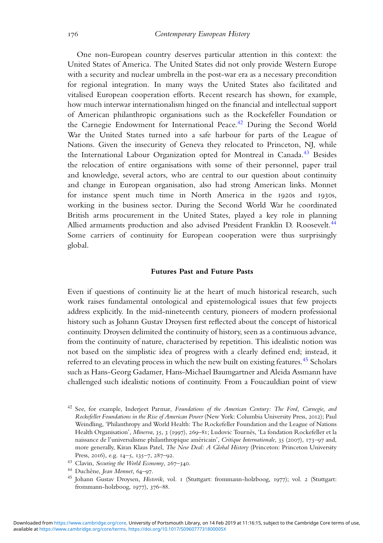One non-European country deserves particular attention in this context: the United States of America. The United States did not only provide Western Europe with a security and nuclear umbrella in the post-war era as a necessary precondition for regional integration. In many ways the United States also facilitated and vitalised European cooperation efforts. Recent research has shown, for example, how much interwar internationalism hinged on the financial and intellectual support of American philanthropic organisations such as the Rockefeller Foundation or the Carnegie Endowment for International Peace.<sup>42</sup> During the Second World War the United States turned into a safe harbour for parts of the League of Nations. Given the insecurity of Geneva they relocated to Princeton, NJ, while the International Labour Organization opted for Montreal in Canada.<sup>43</sup> Besides the relocation of entire organisations with some of their personnel, paper trail and knowledge, several actors, who are central to our question about continuity and change in European organisation, also had strong American links. Monnet for instance spent much time in North America in the 1920s and 1930s, working in the business sector. During the Second World War he coordinated British arms procurement in the United States, played a key role in planning Allied armaments production and also advised President Franklin D. Roosevelt.<sup>44</sup> Some carriers of continuity for European cooperation were thus surprisingly global.

#### **Futures Past and Future Pasts**

Even if questions of continuity lie at the heart of much historical research, such work raises fundamental ontological and epistemological issues that few projects address explicitly. In the mid-nineteenth century, pioneers of modern professional history such as Johann Gustav Droysen first reflected about the concept of historical continuity. Droysen delimited the continuity of history, seen as a continuous advance, from the continuity of nature, characterised by repetition. This idealistic notion was not based on the simplistic idea of progress with a clearly defined end; instead, it referred to an elevating process in which the new built on existing features.<sup>45</sup> Scholars such as Hans-Georg Gadamer, Hans-Michael Baumgartner and Aleida Assmann have challenged such idealistic notions of continuity. From a Foucauldian point of view

<sup>42</sup> See, for example, Inderjeet Parmar, *Foundations of the American Century: The Ford, Carnegie, and Rockefeller Foundations in the Rise of American Power* (New York: Columbia University Press, 2012); Paul Weindling, 'Philanthropy and World Health: The Rockefeller Foundation and the League of Nations Health Organisation', *Minerva*, 35, 3 (1997), 269–81; Ludovic Tournès, 'La fondation Rockefeller et la naissance de l'universalisme philanthropique américain', *Critique Internationale*, 35 (2007), 173–97 and, more generally, Kiran Klaus Patel, *The New Deal: A Global History* (Princeton: Princeton University Press, 2016), e.g. 14–5, 135–7, 287–92.

<sup>43</sup> Clavin, *Securing the World Economy*, 267–340.

<sup>44</sup> Duchêne, *Jean Monnet,* 64–97*.*

<sup>45</sup> Johann Gustav Droysen, *Historik*, vol. 1 (Stuttgart: frommann-holzboog, 1977); vol. 2 (Stuttgart: frommann-holzboog, 1977), 376–88.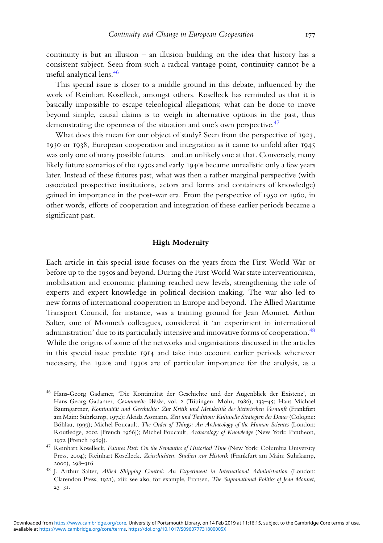continuity is but an illusion – an illusion building on the idea that history has a consistent subject. Seen from such a radical vantage point, continuity cannot be a useful analytical lens.46

This special issue is closer to a middle ground in this debate, influenced by the work of Reinhart Koselleck, amongst others. Koselleck has reminded us that it is basically impossible to escape teleological allegations; what can be done to move beyond simple, causal claims is to weigh in alternative options in the past, thus demonstrating the openness of the situation and one's own perspective.<sup>47</sup>

What does this mean for our object of study? Seen from the perspective of 1923, 1930 or 1938, European cooperation and integration as it came to unfold after 1945 was only one of many possible futures – and an unlikely one at that. Conversely, many likely future scenarios of the 1930s and early 1940s became unrealistic only a few years later. Instead of these futures past, what was then a rather marginal perspective (with associated prospective institutions, actors and forms and containers of knowledge) gained in importance in the post-war era. From the perspective of 1950 or 1960, in other words, efforts of cooperation and integration of these earlier periods became a significant past.

#### **High Modernity**

Each article in this special issue focuses on the years from the First World War or before up to the 1950s and beyond. During the First World War state interventionism, mobilisation and economic planning reached new levels, strengthening the role of experts and expert knowledge in political decision making. The war also led to new forms of international cooperation in Europe and beyond. The Allied Maritime Transport Council, for instance, was a training ground for Jean Monnet. Arthur Salter, one of Monnet's colleagues, considered it 'an experiment in international administration' due to its particularly intensive and innovative forms of cooperation.<sup>48</sup> While the origins of some of the networks and organisations discussed in the articles in this special issue predate 1914 and take into account earlier periods whenever necessary, the 1920s and 1930s are of particular importance for the analysis, as a

<sup>46</sup> Hans-Georg Gadamer, 'Die Kontinuität der Geschichte und der Augenblick der Existenz', in Hans-Georg Gadamer, *Gesammelte Werke*, vol. 2 (Tübingen: Mohr, 1986), 133–45; Hans Michael Baumgartner, *Kontinuität und Geschichte: Zur Kritik und Metakritik der historischen Vernunft* (Frankfurt am Main: Suhrkamp, 1972); Aleida Assmann, *Zeit und Tradition: Kulturelle Strategien der Dauer* (Cologne: Böhlau, 1999); Michel Foucault, *The Order of Things: An Archaeology of the Human Sciences* (London: Routledge, 2002 [French 1966]); Michel Foucault*, Archaeology of Knowledge* (New York: Pantheon, 1972 [French 1969]).

<sup>47</sup> Reinhart Koselleck, *Futures Past: On the Semantics of Historical Time* (New York: Columbia University Press, 2004); Reinhart Koselleck, *Zeitschichten. Studien zur Historik* (Frankfurt am Main: Suhrkamp, 2000), 298–316.

<sup>48</sup> J. Arthur Salter, *Allied Shipping Control: An Experiment in International Administration* (London: Clarendon Press, 1921), xiii; see also, for example, Fransen, *The Supranational Politics of Jean Monnet*,  $23 - 31$ .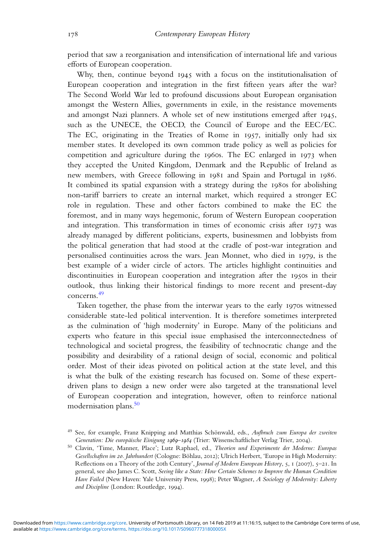period that saw a reorganisation and intensification of international life and various efforts of European cooperation.

Why, then, continue beyond 1945 with a focus on the institutionalisation of European cooperation and integration in the first fifteen years after the war? The Second World War led to profound discussions about European organisation amongst the Western Allies, governments in exile, in the resistance movements and amongst Nazi planners. A whole set of new institutions emerged after 1945, such as the UNECE, the OECD, the Council of Europe and the EEC/EC. The EC, originating in the Treaties of Rome in 1957, initially only had six member states. It developed its own common trade policy as well as policies for competition and agriculture during the 1960s. The EC enlarged in 1973 when they accepted the United Kingdom, Denmark and the Republic of Ireland as new members, with Greece following in 1981 and Spain and Portugal in 1986. It combined its spatial expansion with a strategy during the 1980s for abolishing non-tariff barriers to create an internal market, which required a stronger EC role in regulation. These and other factors combined to make the EC the foremost, and in many ways hegemonic, forum of Western European cooperation and integration. This transformation in times of economic crisis after 1973 was already managed by different politicians, experts, businessmen and lobbyists from the political generation that had stood at the cradle of post-war integration and personalised continuities across the wars. Jean Monnet, who died in 1979, is the best example of a wider circle of actors. The articles highlight continuities and discontinuities in European cooperation and integration after the 1950s in their outlook, thus linking their historical findings to more recent and present-day concerns.49

Taken together, the phase from the interwar years to the early 1970s witnessed considerable state-led political intervention. It is therefore sometimes interpreted as the culmination of 'high modernity' in Europe. Many of the politicians and experts who feature in this special issue emphasised the interconnectedness of technological and societal progress, the feasibility of technocratic change and the possibility and desirability of a rational design of social, economic and political order. Most of their ideas pivoted on political action at the state level, and this is what the bulk of the existing research has focused on. Some of these expertdriven plans to design a new order were also targeted at the transnational level of European cooperation and integration, however, often to reinforce national modernisation plans.<sup>50</sup>

<sup>49</sup> See, for example, Franz Knipping and Matthias Schönwald, eds., *Aufbruch zum Europa der zweiten Generation: Die europäische Einigung 1969–1984* (Trier: Wissenschaftlicher Verlag Trier, 2004).

<sup>50</sup> Clavin, 'Time, Manner, Place'; Lutz Raphael, ed., *Theorien und Experimente der Moderne: Europas Gesellschaften im 20. Jahrhundert* (Cologne: Böhlau, 2012); Ulrich Herbert, 'Europe in High Modernity: Reflections on a Theory of the 20th Century', *Journal of Modern European History*, 5, 1 (2007), 5-21. In general, see also James C. Scott, *Seeing like a State: How Certain Schemes to Improve the Human Condition Have Failed* (New Haven: Yale University Press, 1998); Peter Wagner, *A Sociology of Modernity: Liberty and Discipline* (London: Routledge, 1994).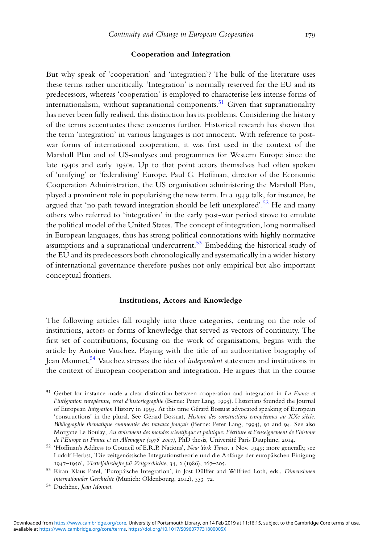#### **Cooperation and Integration**

But why speak of 'cooperation' and 'integration'? The bulk of the literature uses these terms rather uncritically. 'Integration' is normally reserved for the EU and its predecessors, whereas 'cooperation' is employed to characterise less intense forms of internationalism, without supranational components.<sup>51</sup> Given that supranationality has never been fully realised, this distinction has its problems. Considering the history of the terms accentuates these concerns further. Historical research has shown that the term 'integration' in various languages is not innocent. With reference to postwar forms of international cooperation, it was first used in the context of the Marshall Plan and of US-analyses and programmes for Western Europe since the late 1940s and early 1950s. Up to that point actors themselves had often spoken of 'unifying' or 'federalising' Europe. Paul G. Hoffman, director of the Economic Cooperation Administration, the US organisation administering the Marshall Plan, played a prominent role in popularising the new term. In a 1949 talk, for instance, he argued that 'no path toward integration should be left unexplored'.<sup>52</sup> He and many others who referred to 'integration' in the early post-war period strove to emulate the political model of the United States. The concept of integration, long normalised in European languages, thus has strong political connotations with highly normative assumptions and a supranational undercurrent.<sup>53</sup> Embedding the historical study of the EU and its predecessors both chronologically and systematically in a wider history of international governance therefore pushes not only empirical but also important conceptual frontiers.

#### **Institutions, Actors and Knowledge**

The following articles fall roughly into three categories, centring on the role of institutions, actors or forms of knowledge that served as vectors of continuity. The first set of contributions, focusing on the work of organisations, begins with the article by Antoine Vauchez. Playing with the title of an authoritative biography of Jean Monnet,<sup>54</sup> Vauchez stresses the idea of *independent* statesmen and institutions in the context of European cooperation and integration. He argues that in the course

<sup>51</sup> Gerbet for instance made a clear distinction between cooperation and integration in *La France et l'intégration européenne, essai d'historiographie* (Berne: Peter Lang, 1995). Historians founded the Journal of European *Integration* History in 1995. At this time Gérard Bossuat advocated speaking of European 'constructions' in the plural. See Gérard Bossuat, *Histoire des constructions européennes au XXe siècle. Bibliographie thématique commentée des travaux français* (Berne: Peter Lang, 1994), 91 and 94. See also Morgane Le Boulay, *Au croisement des mondes scientifique et politique: l'écriture et l'enseignement de l'histoire de l'Europe en France et en Allemagne (1976–2007)*, PhD thesis, Université Paris Dauphine, 2014.

<sup>52</sup> 'Hoffman's Address to Council of E.R.P. Nations', *New York Times*, 1 Nov. 1949; more generally, see Ludolf Herbst, 'Die zeitgenössische Integrationstheorie und die Anfänge der europäischen Einigung 1947–1950', *Vierteljahrshefte für Zeitgeschichte*, 34, 2 (1986), 167–205.

<sup>53</sup> Kiran Klaus Patel, 'Europäische Integration', in Jost Dülffer and Wilfried Loth, eds., *Dimensionen internationaler Geschichte* (Munich: Oldenbourg, 2012), 353–72.

<sup>54</sup> Duchêne, *Jean Monnet*.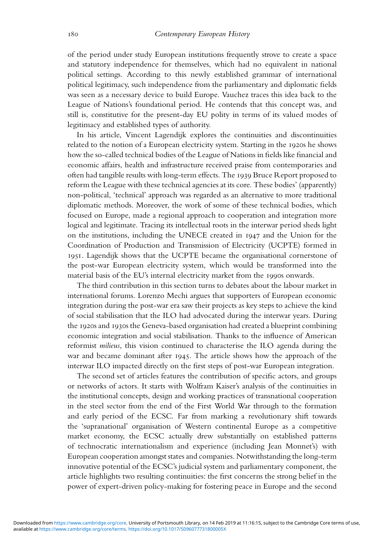of the period under study European institutions frequently strove to create a space and statutory independence for themselves, which had no equivalent in national political settings. According to this newly established grammar of international political legitimacy, such independence from the parliamentary and diplomatic fields was seen as a necessary device to build Europe. Vauchez traces this idea back to the League of Nations's foundational period. He contends that this concept was, and still is, constitutive for the present-day EU polity in terms of its valued modes of legitimacy and established types of authority.

In his article, Vincent Lagendijk explores the continuities and discontinuities related to the notion of a European electricity system. Starting in the 1920s he shows how the so-called technical bodies of the League of Nations in fields like financial and economic affairs, health and infrastructure received praise from contemporaries and often had tangible results with long-term effects. The 1939 Bruce Report proposed to reform the League with these technical agencies at its core. These bodies' (apparently) non-political, 'technical' approach was regarded as an alternative to more traditional diplomatic methods. Moreover, the work of some of these technical bodies, which focused on Europe, made a regional approach to cooperation and integration more logical and legitimate. Tracing its intellectual roots in the interwar period sheds light on the institutions, including the UNECE created in 1947 and the Union for the Coordination of Production and Transmission of Electricity (UCPTE) formed in 1951. Lagendijk shows that the UCPTE became the organisational cornerstone of the post-war European electricity system, which would be transformed into the material basis of the EU's internal electricity market from the 1990s onwards.

The third contribution in this section turns to debates about the labour market in international forums. Lorenzo Mechi argues that supporters of European economic integration during the post-war era saw their projects as key steps to achieve the kind of social stabilisation that the ILO had advocated during the interwar years. During the 1920s and 1930s the Geneva-based organisation had created a blueprint combining economic integration and social stabilisation. Thanks to the influence of American reformist *milieus*, this vision continued to characterise the ILO agenda during the war and became dominant after 1945. The article shows how the approach of the interwar ILO impacted directly on the first steps of post-war European integration.

The second set of articles features the contribution of specific actors, and groups or networks of actors. It starts with Wolfram Kaiser's analysis of the continuities in the institutional concepts, design and working practices of transnational cooperation in the steel sector from the end of the First World War through to the formation and early period of the ECSC. Far from marking a revolutionary shift towards the 'supranational' organisation of Western continental Europe as a competitive market economy, the ECSC actually drew substantially on established patterns of technocratic internationalism and experience (including Jean Monnet's) with European cooperation amongst states and companies. Notwithstanding the long-term innovative potential of the ECSC's judicial system and parliamentary component, the article highlights two resulting continuities: the first concerns the strong belief in the power of expert-driven policy-making for fostering peace in Europe and the second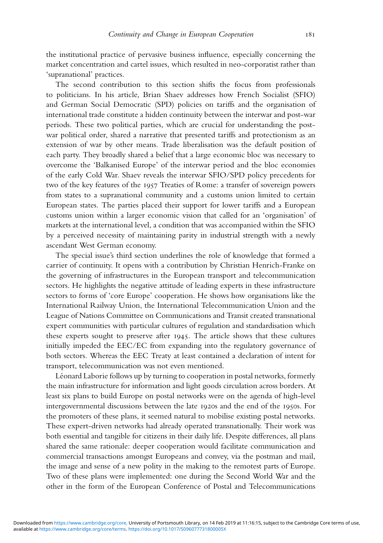the institutional practice of pervasive business influence, especially concerning the market concentration and cartel issues, which resulted in neo-corporatist rather than 'supranational' practices.

The second contribution to this section shifts the focus from professionals to politicians. In his article, Brian Shaev addresses how French Socialist (SFIO) and German Social Democratic (SPD) policies on tariffs and the organisation of international trade constitute a hidden continuity between the interwar and post-war periods. These two political parties, which are crucial for understanding the postwar political order, shared a narrative that presented tariffs and protectionism as an extension of war by other means. Trade liberalisation was the default position of each party. They broadly shared a belief that a large economic bloc was necessary to overcome the 'Balkanised Europe' of the interwar period and the bloc economies of the early Cold War. Shaev reveals the interwar SFIO/SPD policy precedents for two of the key features of the 1957 Treaties of Rome: a transfer of sovereign powers from states to a supranational community and a customs union limited to certain European states. The parties placed their support for lower tariffs and a European customs union within a larger economic vision that called for an 'organisation' of markets at the international level, a condition that was accompanied within the SFIO by a perceived necessity of maintaining parity in industrial strength with a newly ascendant West German economy.

The special issue's third section underlines the role of knowledge that formed a carrier of continuity. It opens with a contribution by Christian Henrich-Franke on the governing of infrastructures in the European transport and telecommunication sectors. He highlights the negative attitude of leading experts in these infrastructure sectors to forms of 'core Europe' cooperation. He shows how organisations like the International Railway Union, the International Telecommunication Union and the League of Nations Committee on Communications and Transit created transnational expert communities with particular cultures of regulation and standardisation which these experts sought to preserve after 1945. The article shows that these cultures initially impeded the EEC/EC from expanding into the regulatory governance of both sectors. Whereas the EEC Treaty at least contained a declaration of intent for transport, telecommunication was not even mentioned.

Léonard Laborie follows up by turning to cooperation in postal networks, formerly the main infrastructure for information and light goods circulation across borders. At least six plans to build Europe on postal networks were on the agenda of high-level intergovernmental discussions between the late 1920s and the end of the 1950s. For the promoters of these plans, it seemed natural to mobilise existing postal networks. These expert-driven networks had already operated transnationally. Their work was both essential and tangible for citizens in their daily life. Despite differences, all plans shared the same rationale: deeper cooperation would facilitate communication and commercial transactions amongst Europeans and convey, via the postman and mail, the image and sense of a new polity in the making to the remotest parts of Europe. Two of these plans were implemented: one during the Second World War and the other in the form of the European Conference of Postal and Telecommunications